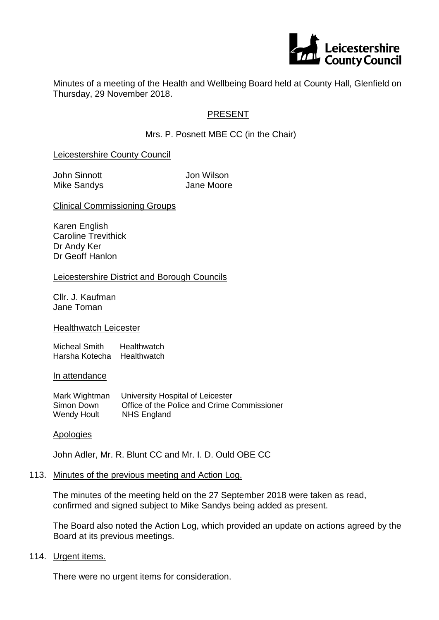

Minutes of a meeting of the Health and Wellbeing Board held at County Hall, Glenfield on Thursday, 29 November 2018.

## PRESENT

Mrs. P. Posnett MBE CC (in the Chair)

### Leicestershire County Council

John Sinnott Jon Wilson Mike Sandys **Jane Moore** 

Clinical Commissioning Groups

Karen English Caroline Trevithick Dr Andy Ker Dr Geoff Hanlon

#### Leicestershire District and Borough Councils

Cllr. J. Kaufman Jane Toman

#### Healthwatch Leicester

Micheal Smith Healthwatch Harsha Kotecha Healthwatch

#### In attendance

| Mark Wightman      | University Hospital of Leicester            |
|--------------------|---------------------------------------------|
| Simon Down         | Office of the Police and Crime Commissioner |
| <b>Wendy Hoult</b> | NHS England                                 |

#### **Apologies**

John Adler, Mr. R. Blunt CC and Mr. I. D. Ould OBE CC

#### 113. Minutes of the previous meeting and Action Log.

The minutes of the meeting held on the 27 September 2018 were taken as read, confirmed and signed subject to Mike Sandys being added as present.

The Board also noted the Action Log, which provided an update on actions agreed by the Board at its previous meetings.

#### 114. Urgent items.

There were no urgent items for consideration.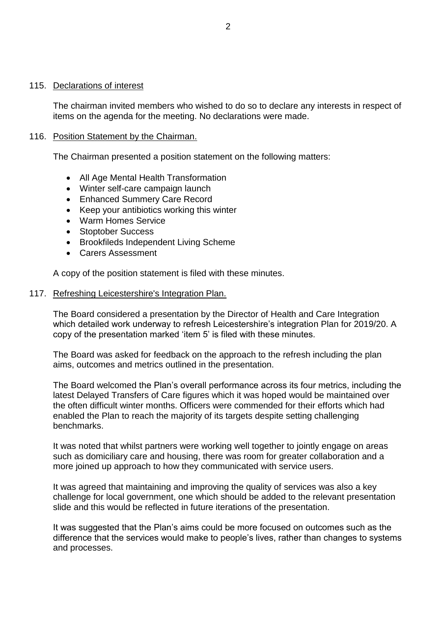#### 115. Declarations of interest

The chairman invited members who wished to do so to declare any interests in respect of items on the agenda for the meeting. No declarations were made.

### 116. Position Statement by the Chairman.

The Chairman presented a position statement on the following matters:

- All Age Mental Health Transformation
- Winter self-care campaign launch
- Enhanced Summery Care Record
- Keep your antibiotics working this winter
- Warm Homes Service
- Stoptober Success
- Brookfileds Independent Living Scheme
- Carers Assessment

A copy of the position statement is filed with these minutes.

#### 117. Refreshing Leicestershire's Integration Plan.

The Board considered a presentation by the Director of Health and Care Integration which detailed work underway to refresh Leicestershire's integration Plan for 2019/20. A copy of the presentation marked 'item 5' is filed with these minutes.

The Board was asked for feedback on the approach to the refresh including the plan aims, outcomes and metrics outlined in the presentation.

The Board welcomed the Plan's overall performance across its four metrics, including the latest Delayed Transfers of Care figures which it was hoped would be maintained over the often difficult winter months. Officers were commended for their efforts which had enabled the Plan to reach the majority of its targets despite setting challenging benchmarks.

It was noted that whilst partners were working well together to jointly engage on areas such as domiciliary care and housing, there was room for greater collaboration and a more joined up approach to how they communicated with service users.

It was agreed that maintaining and improving the quality of services was also a key challenge for local government, one which should be added to the relevant presentation slide and this would be reflected in future iterations of the presentation.

It was suggested that the Plan's aims could be more focused on outcomes such as the difference that the services would make to people's lives, rather than changes to systems and processes.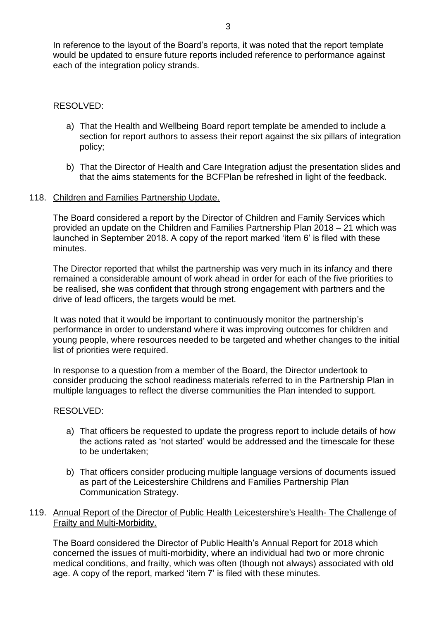In reference to the layout of the Board's reports, it was noted that the report template would be updated to ensure future reports included reference to performance against each of the integration policy strands.

### RESOLVED:

- a) That the Health and Wellbeing Board report template be amended to include a section for report authors to assess their report against the six pillars of integration policy;
- b) That the Director of Health and Care Integration adjust the presentation slides and that the aims statements for the BCFPlan be refreshed in light of the feedback.

### 118. Children and Families Partnership Update.

The Board considered a report by the Director of Children and Family Services which provided an update on the Children and Families Partnership Plan 2018 – 21 which was launched in September 2018. A copy of the report marked 'item 6' is filed with these minutes.

The Director reported that whilst the partnership was very much in its infancy and there remained a considerable amount of work ahead in order for each of the five priorities to be realised, she was confident that through strong engagement with partners and the drive of lead officers, the targets would be met.

It was noted that it would be important to continuously monitor the partnership's performance in order to understand where it was improving outcomes for children and young people, where resources needed to be targeted and whether changes to the initial list of priorities were required.

In response to a question from a member of the Board, the Director undertook to consider producing the school readiness materials referred to in the Partnership Plan in multiple languages to reflect the diverse communities the Plan intended to support.

### RESOLVED:

- a) That officers be requested to update the progress report to include details of how the actions rated as 'not started' would be addressed and the timescale for these to be undertaken;
- b) That officers consider producing multiple language versions of documents issued as part of the Leicestershire Childrens and Families Partnership Plan Communication Strategy.

### 119. Annual Report of the Director of Public Health Leicestershire's Health- The Challenge of Frailty and Multi-Morbidity.

The Board considered the Director of Public Health's Annual Report for 2018 which concerned the issues of multi-morbidity, where an individual had two or more chronic medical conditions, and frailty, which was often (though not always) associated with old age. A copy of the report, marked 'item 7' is filed with these minutes.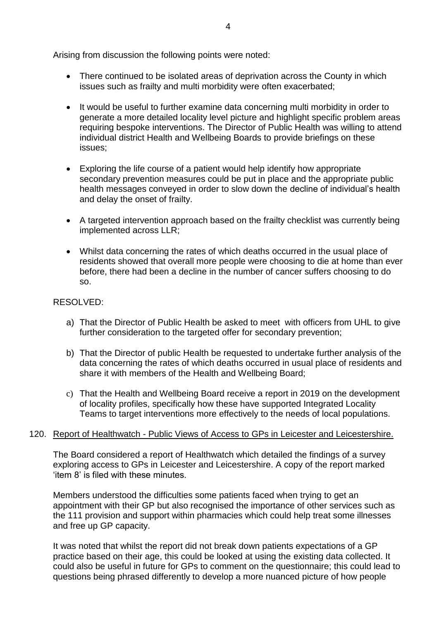Arising from discussion the following points were noted:

- There continued to be isolated areas of deprivation across the County in which issues such as frailty and multi morbidity were often exacerbated;
- It would be useful to further examine data concerning multi morbidity in order to generate a more detailed locality level picture and highlight specific problem areas requiring bespoke interventions. The Director of Public Health was willing to attend individual district Health and Wellbeing Boards to provide briefings on these issues;
- Exploring the life course of a patient would help identify how appropriate secondary prevention measures could be put in place and the appropriate public health messages conveyed in order to slow down the decline of individual's health and delay the onset of frailty.
- A targeted intervention approach based on the frailty checklist was currently being implemented across LLR;
- Whilst data concerning the rates of which deaths occurred in the usual place of residents showed that overall more people were choosing to die at home than ever before, there had been a decline in the number of cancer suffers choosing to do so.

## RESOLVED:

- a) That the Director of Public Health be asked to meet with officers from UHL to give further consideration to the targeted offer for secondary prevention;
- b) That the Director of public Health be requested to undertake further analysis of the data concerning the rates of which deaths occurred in usual place of residents and share it with members of the Health and Wellbeing Board;
- c) That the Health and Wellbeing Board receive a report in 2019 on the development of locality profiles, specifically how these have supported Integrated Locality Teams to target interventions more effectively to the needs of local populations.

### 120. Report of Healthwatch - Public Views of Access to GPs in Leicester and Leicestershire.

The Board considered a report of Healthwatch which detailed the findings of a survey exploring access to GPs in Leicester and Leicestershire. A copy of the report marked 'item 8' is filed with these minutes.

Members understood the difficulties some patients faced when trying to get an appointment with their GP but also recognised the importance of other services such as the 111 provision and support within pharmacies which could help treat some illnesses and free up GP capacity.

It was noted that whilst the report did not break down patients expectations of a GP practice based on their age, this could be looked at using the existing data collected. It could also be useful in future for GPs to comment on the questionnaire; this could lead to questions being phrased differently to develop a more nuanced picture of how people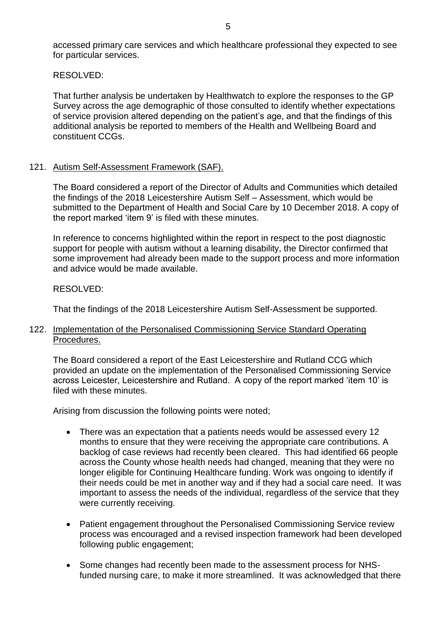accessed primary care services and which healthcare professional they expected to see for particular services.

RESOLVED:

That further analysis be undertaken by Healthwatch to explore the responses to the GP Survey across the age demographic of those consulted to identify whether expectations of service provision altered depending on the patient's age, and that the findings of this additional analysis be reported to members of the Health and Wellbeing Board and constituent CCGs.

### 121. Autism Self-Assessment Framework (SAF).

The Board considered a report of the Director of Adults and Communities which detailed the findings of the 2018 Leicestershire Autism Self – Assessment, which would be submitted to the Department of Health and Social Care by 10 December 2018. A copy of the report marked 'item 9' is filed with these minutes.

In reference to concerns highlighted within the report in respect to the post diagnostic support for people with autism without a learning disability, the Director confirmed that some improvement had already been made to the support process and more information and advice would be made available.

### RESOLVED:

That the findings of the 2018 Leicestershire Autism Self-Assessment be supported.

### 122. Implementation of the Personalised Commissioning Service Standard Operating Procedures.

The Board considered a report of the East Leicestershire and Rutland CCG which provided an update on the implementation of the Personalised Commissioning Service across Leicester, Leicestershire and Rutland. A copy of the report marked 'item 10' is filed with these minutes.

Arising from discussion the following points were noted;

- There was an expectation that a patients needs would be assessed every 12 months to ensure that they were receiving the appropriate care contributions. A backlog of case reviews had recently been cleared. This had identified 66 people across the County whose health needs had changed, meaning that they were no longer eligible for Continuing Healthcare funding. Work was ongoing to identify if their needs could be met in another way and if they had a social care need. It was important to assess the needs of the individual, regardless of the service that they were currently receiving.
- Patient engagement throughout the Personalised Commissioning Service review process was encouraged and a revised inspection framework had been developed following public engagement;
- Some changes had recently been made to the assessment process for NHSfunded nursing care, to make it more streamlined. It was acknowledged that there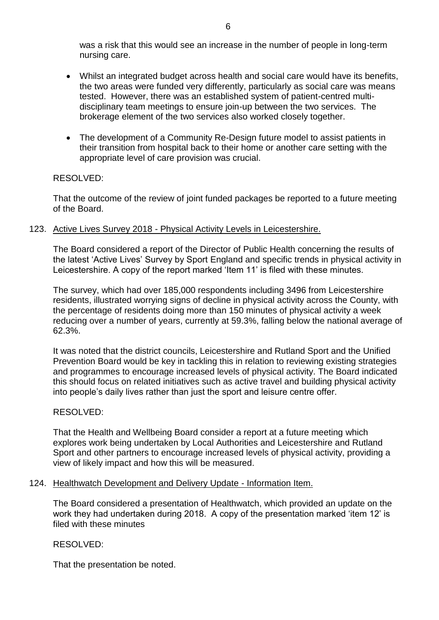was a risk that this would see an increase in the number of people in long-term nursing care.

- Whilst an integrated budget across health and social care would have its benefits, the two areas were funded very differently, particularly as social care was means tested. However, there was an established system of patient-centred multidisciplinary team meetings to ensure join-up between the two services. The brokerage element of the two services also worked closely together.
- The development of a Community Re-Design future model to assist patients in their transition from hospital back to their home or another care setting with the appropriate level of care provision was crucial.

### RESOLVED:

That the outcome of the review of joint funded packages be reported to a future meeting of the Board.

### 123. Active Lives Survey 2018 - Physical Activity Levels in Leicestershire.

The Board considered a report of the Director of Public Health concerning the results of the latest 'Active Lives' Survey by Sport England and specific trends in physical activity in Leicestershire. A copy of the report marked 'Item 11' is filed with these minutes.

The survey, which had over 185,000 respondents including 3496 from Leicestershire residents, illustrated worrying signs of decline in physical activity across the County, with the percentage of residents doing more than 150 minutes of physical activity a week reducing over a number of years, currently at 59.3%, falling below the national average of 62.3%.

It was noted that the district councils, Leicestershire and Rutland Sport and the Unified Prevention Board would be key in tackling this in relation to reviewing existing strategies and programmes to encourage increased levels of physical activity. The Board indicated this should focus on related initiatives such as active travel and building physical activity into people's daily lives rather than just the sport and leisure centre offer.

### RESOLVED:

That the Health and Wellbeing Board consider a report at a future meeting which explores work being undertaken by Local Authorities and Leicestershire and Rutland Sport and other partners to encourage increased levels of physical activity, providing a view of likely impact and how this will be measured.

#### 124. Healthwatch Development and Delivery Update - Information Item.

The Board considered a presentation of Healthwatch, which provided an update on the work they had undertaken during 2018. A copy of the presentation marked 'item 12' is filed with these minutes

### RESOLVED:

That the presentation be noted.